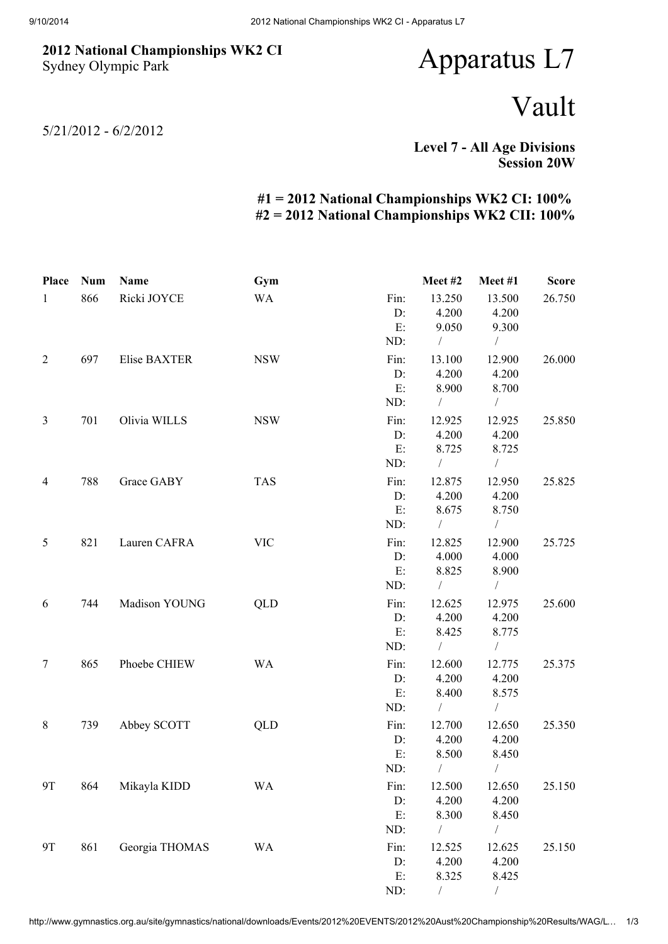## 2012 National Championships WK2 CI Sydney Olympic Park

## Apparatus L7

## Vault

5/21/2012 - 6/2/2012

Level 7 - All Age Divisions Session 20W

## #1 = 2012 National Championships WK2 CI: 100% #2 = 2012 National Championships WK2 CII: 100%

| Place          | <b>Num</b> | Name           | Gym        |      | Meet #2    | Meet#1         | <b>Score</b> |
|----------------|------------|----------------|------------|------|------------|----------------|--------------|
| $\mathbf{1}$   | 866        | Ricki JOYCE    | <b>WA</b>  | Fin: | 13.250     | 13.500         | 26.750       |
|                |            |                |            | D:   | 4.200      | 4.200          |              |
|                |            |                |            | E:   | 9.050      | 9.300          |              |
|                |            |                |            | ND:  | $\sqrt{2}$ | $\sqrt{2}$     |              |
| $\overline{2}$ | 697        | Elise BAXTER   | <b>NSW</b> | Fin: | 13.100     | 12.900         | 26.000       |
|                |            |                |            | D:   | 4.200      | 4.200          |              |
|                |            |                |            | E:   | 8.900      | 8.700          |              |
|                |            |                |            | ND:  | $\sqrt{2}$ | $\overline{ }$ |              |
| $\mathfrak{Z}$ | 701        | Olivia WILLS   | <b>NSW</b> | Fin: | 12.925     | 12.925         | 25.850       |
|                |            |                |            | D:   | 4.200      | 4.200          |              |
|                |            |                |            | E:   | 8.725      | 8.725          |              |
|                |            |                |            | ND:  | $\sqrt{2}$ | $\sqrt{2}$     |              |
| $\overline{4}$ | 788        | Grace GABY     | <b>TAS</b> | Fin: | 12.875     | 12.950         | 25.825       |
|                |            |                |            | D:   | 4.200      | 4.200          |              |
|                |            |                |            | E:   | 8.675      | 8.750          |              |
|                |            |                |            | ND:  | $\sqrt{2}$ | $\sqrt{2}$     |              |
| $\mathfrak{S}$ | 821        | Lauren CAFRA   | <b>VIC</b> | Fin: | 12.825     | 12.900         | 25.725       |
|                |            |                |            | D:   | 4.000      | 4.000          |              |
|                |            |                |            | E:   | 8.825      | 8.900          |              |
|                |            |                |            | ND:  | $\sqrt{2}$ | $\frac{1}{2}$  |              |
| 6              | 744        | Madison YOUNG  | QLD        | Fin: | 12.625     | 12.975         | 25.600       |
|                |            |                |            | D:   | 4.200      | 4.200          |              |
|                |            |                |            | E:   | 8.425      | 8.775          |              |
|                |            |                |            | ND:  | $\sqrt{2}$ | $\sqrt{2}$     |              |
| $\overline{7}$ | 865        | Phoebe CHIEW   | <b>WA</b>  | Fin: | 12.600     | 12.775         | 25.375       |
|                |            |                |            | D:   | 4.200      | 4.200          |              |
|                |            |                |            | E:   | 8.400      | 8.575          |              |
|                |            |                |            | ND:  | $\sqrt{2}$ | $\sqrt{2}$     |              |
| $8\,$          | 739        | Abbey SCOTT    | QLD        | Fin: | 12.700     | 12.650         | 25.350       |
|                |            |                |            | D:   | 4.200      | 4.200          |              |
|                |            |                |            | E:   | 8.500      | 8.450          |              |
|                |            |                |            | ND:  | $\sqrt{2}$ | T              |              |
| 9T             | 864        | Mikayla KIDD   | <b>WA</b>  | Fin: | 12.500     | 12.650         | 25.150       |
|                |            |                |            | D:   | 4.200      | 4.200          |              |
|                |            |                |            | E:   | 8.300      | 8.450          |              |
|                |            |                |            | ND:  | $\sqrt{2}$ | $\sqrt{2}$     |              |
| <b>9T</b>      | 861        | Georgia THOMAS | <b>WA</b>  | Fin: | 12.525     | 12.625         | 25.150       |
|                |            |                |            | D:   | 4.200      | 4.200          |              |
|                |            |                |            | E:   | 8.325      | 8.425          |              |
|                |            |                |            | ND:  |            | $\sqrt{2}$     |              |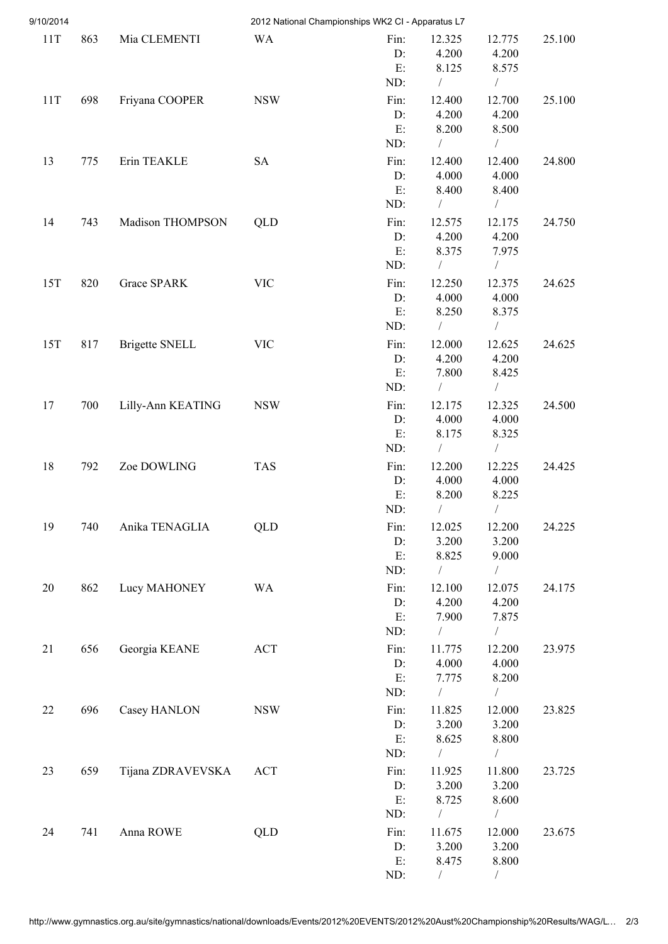| 9/10/2014 |     |                       |            | 2012 National Championships WK2 CI - Apparatus L7 |                     |                         |        |
|-----------|-----|-----------------------|------------|---------------------------------------------------|---------------------|-------------------------|--------|
| 11T       | 863 | Mia CLEMENTI          | <b>WA</b>  | Fin:<br>D:                                        | 12.325<br>4.200     | 12.775<br>4.200         | 25.100 |
|           |     |                       |            | E:<br>ND:                                         | 8.125<br>$\sqrt{2}$ | 8.575<br>$\sqrt{2}$     |        |
| 11T       | 698 | Friyana COOPER        | <b>NSW</b> | Fin:                                              | 12.400              | 12.700                  | 25.100 |
|           |     |                       |            | $D$ :                                             | 4.200               | 4.200                   |        |
|           |     |                       |            | E:                                                | 8.200               | 8.500                   |        |
|           |     |                       |            | ND:                                               | $\sqrt{2}$          | $\sqrt{2}$              |        |
| 13        | 775 | Erin TEAKLE           | <b>SA</b>  | Fin:                                              | 12.400              | 12.400                  | 24.800 |
|           |     |                       |            | D:                                                | 4.000               | 4.000                   |        |
|           |     |                       |            | E:<br>ND:                                         | 8.400<br>$\sqrt{2}$ | 8.400<br>$\sqrt{2}$     |        |
|           | 743 | Madison THOMPSON      | QLD        | Fin:                                              | 12.575              |                         | 24.750 |
| 14        |     |                       |            | D:                                                | 4.200               | 12.175<br>4.200         |        |
|           |     |                       |            | E:                                                | 8.375               | 7.975                   |        |
|           |     |                       |            | ND:                                               | $\sqrt{2}$          | $\frac{1}{2}$           |        |
| 15T       | 820 | Grace SPARK           | <b>VIC</b> | Fin:                                              | 12.250              | 12.375                  | 24.625 |
|           |     |                       |            | D:                                                | 4.000               | 4.000                   |        |
|           |     |                       |            | E:                                                | 8.250               | 8.375                   |        |
|           |     |                       |            | ND:                                               | $\sqrt{2}$          | $\sqrt{2}$              |        |
| 15T       | 817 | <b>Brigette SNELL</b> | <b>VIC</b> | Fin:<br>D:                                        | 12.000<br>4.200     | 12.625<br>4.200         | 24.625 |
|           |     |                       |            | E:                                                | 7.800               | 8.425                   |        |
|           |     |                       |            | ND:                                               | $\sqrt{2}$          | $\sqrt{2}$              |        |
| 17        | 700 | Lilly-Ann KEATING     | <b>NSW</b> | Fin:                                              | 12.175              | 12.325                  | 24.500 |
|           |     |                       |            | D:                                                | 4.000               | 4.000                   |        |
|           |     |                       |            | E:                                                | 8.175               | 8.325                   |        |
|           |     |                       |            | ND:                                               | $\sqrt{2}$          | $\sqrt{2}$              |        |
| 18        | 792 | Zoe DOWLING           | <b>TAS</b> | Fin:                                              | 12.200              | 12.225                  | 24.425 |
|           |     |                       |            | D:<br>E:                                          | 4.000               | 4.000                   |        |
|           |     |                       |            | ND:                                               | 8.200<br>$\sqrt{2}$ | 8.225<br>$\overline{1}$ |        |
| 19        | 740 | Anika TENAGLIA        | QLD        | Fin:                                              | 12.025              | 12.200                  | 24.225 |
|           |     |                       |            | D:                                                | 3.200               | 3.200                   |        |
|           |     |                       |            | E:                                                | 8.825               | 9.000                   |        |
|           |     |                       |            | ND:                                               | $\frac{1}{2}$       | Т                       |        |
| 20        | 862 | Lucy MAHONEY          | <b>WA</b>  | Fin:                                              | 12.100              | 12.075                  | 24.175 |
|           |     |                       |            | D:                                                | 4.200               | 4.200                   |        |
|           |     |                       |            | E:<br>ND:                                         | 7.900<br>$\sqrt{2}$ | 7.875<br>$\sqrt{2}$     |        |
| 21        | 656 |                       |            | Fin:                                              |                     | 12.200                  | 23.975 |
|           |     | Georgia KEANE         | ACT        | D:                                                | 11.775<br>4.000     | 4.000                   |        |
|           |     |                       |            | $E$ :                                             | 7.775               | 8.200                   |        |
|           |     |                       |            | ND:                                               | $\sqrt{2}$          | $\sqrt{2}$              |        |
| 22        | 696 | Casey HANLON          | <b>NSW</b> | Fin:                                              | 11.825              | 12.000                  | 23.825 |
|           |     |                       |            | D:                                                | 3.200               | 3.200                   |        |
|           |     |                       |            | E:                                                | 8.625               | 8.800                   |        |
|           |     |                       |            | ND:                                               | $\sqrt{2}$          | $\sqrt{2}$              |        |
| 23        | 659 | Tijana ZDRAVEVSKA     | <b>ACT</b> | Fin:<br>D:                                        | 11.925              | 11.800                  | 23.725 |
|           |     |                       |            | E:                                                | 3.200<br>8.725      | 3.200<br>8.600          |        |
|           |     |                       |            | ND:                                               | $\frac{1}{2}$       | $\overline{1}$          |        |
| 24        | 741 | Anna ROWE             | QLD        | Fin:                                              | 11.675              | 12.000                  | 23.675 |
|           |     |                       |            | D:                                                | 3.200               | 3.200                   |        |
|           |     |                       |            | E:                                                | 8.475               | 8.800                   |        |
|           |     |                       |            | ND:                                               |                     |                         |        |